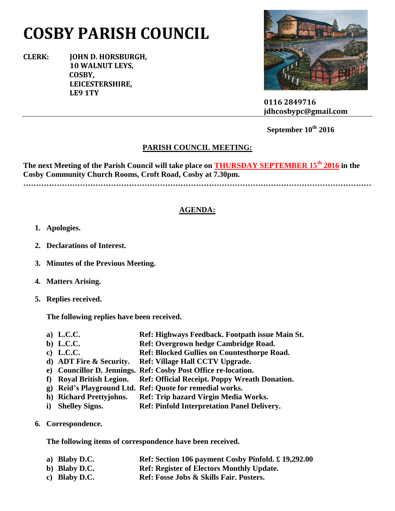# **COSBY PARISH COUNCIL**

**CLERK: JOHN D. HORSBURGH, 10 WALNUT LEYS, COSBY, LEICESTERSHIRE, LE9 1TY**



 **0116 2849716 jdhcosbypc@gmail.com**

## **September 10th 2016**

#### **PARISH COUNCIL MEETING:**

**The next Meeting of the Parish Council will take place on THURSDAY SEPTEMBER 15th 2016 in the Cosby Community Church Rooms, Croft Road, Cosby at 7.30pm. ………………………………………………………………………………………………………………………**

#### **AGENDA:**

- **1. Apologies.**
- **2. Declarations of Interest.**
- **3. Minutes of the Previous Meeting.**
- **4. Matters Arising.**
- **5. Replies received.**

**The following replies have been received.**

- **a) L.C.C. Ref: Highways Feedback. Footpath issue Main St.**
- **b) L.C.C. Ref: Overgrown hedge Cambridge Road.**
- **c) L.C.C. Ref: Blocked Gullies on Countesthorpe Road.**
- **d) ADT Fire & Security. Ref: Village Hall CCTV Upgrade.**
- **e) Councillor D. Jennings. Ref: Cosby Post Office re-location.**
- **f) Royal British Legion. Ref: Official Receipt. Poppy Wreath Donation.**
- **g) Reid's Playground Ltd. Ref: Quote for remedial works.**
- **h) Richard Prettyjohns. Ref: Trip hazard Virgin Media Works.**
- **i) Shelley Signs. Ref: Pinfold Interpretation Panel Delivery.**
- **6. Correspondence.**

**The following items of correspondence have been received.**

- **a) Blaby D.C. Ref: Section 106 payment Cosby Pinfold. £ 19,292.00**
- **b) Blaby D.C. Ref: Register of Electors Monthly Update.**
- **c) Blaby D.C. Ref: Fosse Jobs & Skills Fair. Posters.**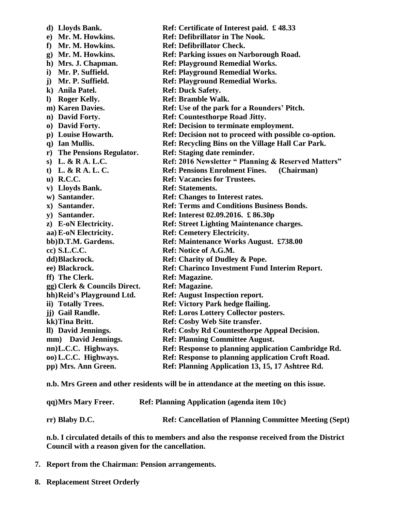| d) Lloyds Bank.              | Ref: Certificate of Interest paid. £48.33             |
|------------------------------|-------------------------------------------------------|
| e) Mr. M. Howkins.           | <b>Ref: Defibrillator in The Nook.</b>                |
| f) Mr. M. Howkins.           | <b>Ref: Defibrillator Check.</b>                      |
| g) Mr. M. Howkins.           | Ref: Parking issues on Narborough Road.               |
| h) Mrs. J. Chapman.          | <b>Ref: Playground Remedial Works.</b>                |
| i) Mr. P. Suffield.          | <b>Ref: Playground Remedial Works.</b>                |
| j) Mr. P. Suffield.          | <b>Ref: Playground Remedial Works.</b>                |
| k) Anila Patel.              | <b>Ref: Duck Safety.</b>                              |
| Roger Kelly.<br>$\bf{D}$     | <b>Ref: Bramble Walk.</b>                             |
| m) Karen Davies.             | Ref: Use of the park for a Rounders' Pitch.           |
| n) David Forty.              | <b>Ref: Countesthorpe Road Jitty.</b>                 |
| o) David Forty.              | <b>Ref: Decision to terminate employment.</b>         |
| p) Louise Howarth.           | Ref: Decision not to proceed with possible co-option. |
| q) Ian Mullis.               | Ref: Recycling Bins on the Village Hall Car Park.     |
| r) The Pensions Regulator.   | Ref: Staging date reminder.                           |
| s) L. & R A. L.C.            | Ref: 2016 Newsletter " Planning & Reserved Matters"   |
| t) L. & R A. L. C.           | <b>Ref: Pensions Enrolment Fines.</b><br>(Chairman)   |
| $\mathbf{u})$ R.C.C.         | <b>Ref: Vacancies for Trustees.</b>                   |
| v) Lloyds Bank.              | <b>Ref: Statements.</b>                               |
| w) Santander.                | <b>Ref: Changes to Interest rates.</b>                |
| x) Santander.                | <b>Ref: Terms and Conditions Business Bonds.</b>      |
| y) Santander.                | Ref: Interest 02.09.2016. £86.30p                     |
| z) E-oN Electricity.         | Ref: Street Lighting Maintenance charges.             |
| aa) E-oN Electricity.        | <b>Ref: Cemetery Electricity.</b>                     |
| bb)D.T.M. Gardens.           | Ref: Maintenance Works August. £738.00                |
| cc) S.L.C.C.                 | Ref: Notice of A.G.M.                                 |
| dd)Blackrock.                | Ref: Charity of Dudley & Pope.                        |
| ee) Blackrock.               | <b>Ref: Charinco Investment Fund Interim Report.</b>  |
| ff) The Clerk.               | Ref: Magazine.                                        |
| gg) Clerk & Councils Direct. | <b>Ref: Magazine.</b>                                 |
| hh) Reid's Playground Ltd.   | <b>Ref: August Inspection report.</b>                 |
| ii) Totally Trees.           | <b>Ref: Victory Park hedge flailing.</b>              |
| jj) Gail Randle.             | Ref: Loros Lottery Collector posters.                 |
| kk)Tina Britt.               | Ref: Cosby Web Site transfer.                         |
| ll) David Jennings.          | <b>Ref: Cosby Rd Countesthorpe Appeal Decision.</b>   |
| mm) David Jennings.          | <b>Ref: Planning Committee August.</b>                |
| nn)L.C.C. Highways.          | Ref: Response to planning application Cambridge Rd.   |
| 00) L.C.C. Highways.         | Ref: Response to planning application Croft Road.     |
| pp) Mrs. Ann Green.          | Ref: Planning Application 13, 15, 17 Ashtree Rd.      |

**n.b. Mrs Green and other residents will be in attendance at the meeting on this issue.**

| qq)Mrs Mary Freer. | <b>Ref: Planning Application (agenda item 10c)</b>            |  |  |
|--------------------|---------------------------------------------------------------|--|--|
| rr) Blaby D.C.     | <b>Ref: Cancellation of Planning Committee Meeting (Sept)</b> |  |  |

**n.b. I circulated details of this to members and also the response received from the District Council with a reason given for the cancellation.**

- **7. Report from the Chairman: Pension arrangements.**
- **8. Replacement Street Orderly**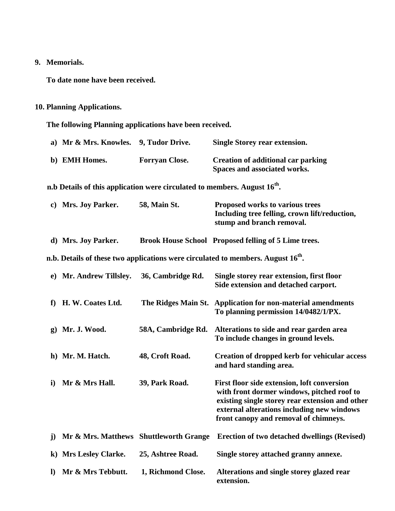### **9. Memorials.**

**To date none have been received.**

## **10. Planning Applications.**

**The following Planning applications have been received.**

|              | a) Mr & Mrs. Knowles.                                                                 | 9, Tudor Drive.       | <b>Single Storey rear extension.</b>                                                                                                                                                                                                |
|--------------|---------------------------------------------------------------------------------------|-----------------------|-------------------------------------------------------------------------------------------------------------------------------------------------------------------------------------------------------------------------------------|
|              | b) EMH Homes.                                                                         | <b>Forryan Close.</b> | <b>Creation of additional car parking</b><br>Spaces and associated works.                                                                                                                                                           |
|              | n.b Details of this application were circulated to members. August 16 <sup>th</sup> . |                       |                                                                                                                                                                                                                                     |
|              | c) Mrs. Joy Parker.                                                                   | 58, Main St.          | Proposed works to various trees<br>Including tree felling, crown lift/reduction,<br>stump and branch removal.                                                                                                                       |
|              | d) Mrs. Joy Parker.                                                                   |                       | <b>Brook House School Proposed felling of 5 Lime trees.</b>                                                                                                                                                                         |
|              |                                                                                       |                       | n.b. Details of these two applications were circulated to members. August 16 <sup>th</sup> .                                                                                                                                        |
|              | e) Mr. Andrew Tillsley.                                                               | 36, Cambridge Rd.     | Single storey rear extension, first floor<br>Side extension and detached carport.                                                                                                                                                   |
| f            | H. W. Coates Ltd.                                                                     | The Ridges Main St.   | <b>Application for non-material amendments</b><br>To planning permission 14/0482/1/PX.                                                                                                                                              |
| $\mathbf{g}$ | Mr. J. Wood.                                                                          | 58A, Cambridge Rd.    | Alterations to side and rear garden area<br>To include changes in ground levels.                                                                                                                                                    |
|              | h) Mr. M. Hatch.                                                                      | 48, Croft Road.       | <b>Creation of dropped kerb for vehicular access</b><br>and hard standing area.                                                                                                                                                     |
| $\mathbf{i}$ | Mr & Mrs Hall.                                                                        | 39, Park Road.        | First floor side extension, loft conversion<br>with front dormer windows, pitched roof to<br>existing single storey rear extension and other<br>external alterations including new windows<br>front canopy and removal of chimneys. |
| $\bf j)$     | Mr & Mrs. Matthews Shuttleworth Grange                                                |                       | <b>Erection of two detached dwellings (Revised)</b>                                                                                                                                                                                 |
| $\bf k)$     | <b>Mrs Lesley Clarke.</b>                                                             | 25, Ashtree Road.     | Single storey attached granny annexe.                                                                                                                                                                                               |
| $\bf{l}$     | Mr & Mrs Tebbutt.                                                                     | 1, Richmond Close.    | Alterations and single storey glazed rear<br>extension.                                                                                                                                                                             |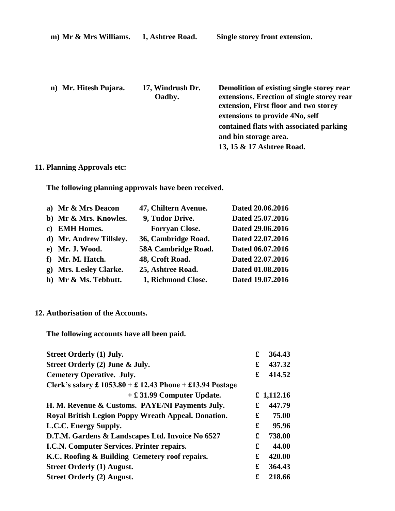| m) Mr & Mrs Williams. | 1, Ashtree Road.           | Single storey front extension.                                                                                                                                                                                                                                       |
|-----------------------|----------------------------|----------------------------------------------------------------------------------------------------------------------------------------------------------------------------------------------------------------------------------------------------------------------|
| n) Mr. Hitesh Pujara. | 17, Windrush Dr.<br>Oadby. | Demolition of existing single storey rear<br>extensions. Erection of single storey rear<br>extension, First floor and two storey<br>extensions to provide 4No, self<br>contained flats with associated parking<br>and bin storage area.<br>13, 15 & 17 Ashtree Road. |
|                       |                            |                                                                                                                                                                                                                                                                      |

## **11. Planning Approvals etc:**

**The following planning approvals have been received.**

| a) Mr & Mrs Deacon      | 47, Chiltern Avenue.  | Dated 20.06.2016 |
|-------------------------|-----------------------|------------------|
| b) Mr & Mrs. Knowles.   | 9, Tudor Drive.       | Dated 25.07.2016 |
| c) EMH Homes.           | <b>Forryan Close.</b> | Dated 29.06.2016 |
| d) Mr. Andrew Tillsley. | 36, Cambridge Road.   | Dated 22.07.2016 |
| e) Mr. J. Wood.         | 58A Cambridge Road.   | Dated 06.07.2016 |
| f) Mr. M. Hatch.        | 48, Croft Road.       | Dated 22.07.2016 |
| g) Mrs. Lesley Clarke.  | 25, Ashtree Road.     | Dated 01.08.2016 |
| h) Mr & Ms. Tebbutt.    | 1, Richmond Close.    | Dated 19.07.2016 |

#### **12. Authorisation of the Accounts.**

**The following accounts have all been paid.**

| <b>Street Orderly (1) July.</b>                                           | £ | 364.43     |
|---------------------------------------------------------------------------|---|------------|
| Street Orderly (2) June & July.                                           | £ | 437.32     |
| <b>Cemetery Operative. July.</b>                                          | £ | 414.52     |
| Clerk's salary $\pounds$ 1053.80 + $\pounds$ 12.43 Phone + £13.94 Postage |   |            |
| $+$ £ 31.99 Computer Update.                                              |   | £ 1,112.16 |
| H. M. Revenue & Customs. PAYE/NI Payments July.                           | £ | 447.79     |
| Royal British Legion Poppy Wreath Appeal. Donation.                       | £ | 75.00      |
| L.C.C. Energy Supply.                                                     | £ | 95.96      |
| D.T.M. Gardens & Landscapes Ltd. Invoice No 6527                          | £ | 738.00     |
| I.C.N. Computer Services. Printer repairs.                                | £ | 44.00      |
| K.C. Roofing & Building Cemetery roof repairs.                            | £ | 420.00     |
| <b>Street Orderly (1) August.</b>                                         | £ | 364.43     |
| <b>Street Orderly (2) August.</b>                                         | £ | 218.66     |